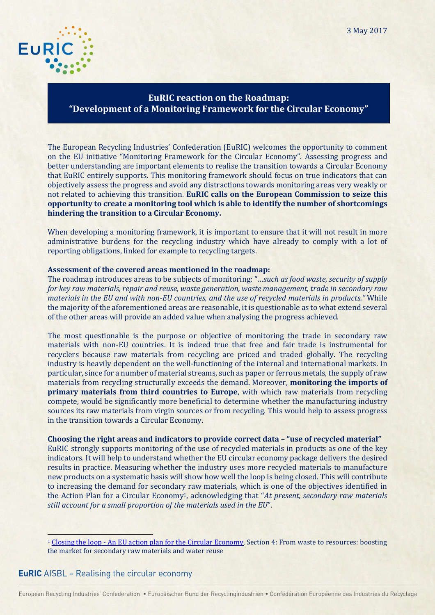

## **EuRIC reaction on the Roadmap: "Development of a Monitoring Framework for the Circular Economy"**

The European Recycling Industries' Confederation (EuRIC) welcomes the opportunity to comment on the EU initiative "Monitoring Framework for the Circular Economy". Assessing progress and better understanding are important elements to realise the transition towards a Circular Economy that EuRIC entirely supports. This monitoring framework should focus on true indicators that can objectively assess the progress and avoid any distractions towards monitoring areas very weakly or not related to achieving this transition. **EuRIC calls on the European Commission to seize this opportunity to create a monitoring tool which is able to identify the number of shortcomings hindering the transition to a Circular Economy.**

When developing a monitoring framework, it is important to ensure that it will not result in more administrative burdens for the recycling industry which have already to comply with a lot of reporting obligations, linked for example to recycling targets.

## **Assessment of the covered areas mentioned in the roadmap:**

The roadmap introduces areas to be subjects of monitoring: "…*such as food waste, security of supply for key raw materials, repair and reuse, waste generation, waste management, trade in secondary raw materials in the EU and with non-EU countries, and the use of recycled materials in products."* While the majority of the aforementioned areas are reasonable, it is questionable as to what extend several of the other areas will provide an added value when analysing the progress achieved.

The most questionable is the purpose or objective of monitoring the trade in secondary raw materials with non-EU countries. It is indeed true that free and fair trade is instrumental for recyclers because raw materials from recycling are priced and traded globally. The recycling industry is heavily dependent on the well-functioning of the internal and international markets. In particular, since for a number of material streams, such as paper or ferrous metals, the supply of raw materials from recycling structurally exceeds the demand. Moreover, **monitoring the imports of primary materials from third countries to Europe**, with which raw materials from recycling compete, would be significantly more beneficial to determine whether the manufacturing industry sources its raw materials from virgin sources or from recycling. This would help to assess progress in the transition towards a Circular Economy.

## **Choosing the right areas and indicators to provide correct data – "use of recycled material"**

EuRIC strongly supports monitoring of the use of recycled materials in products as one of the key indicators. It will help to understand whether the EU circular economy package delivers the desired results in practice. Measuring whether the industry uses more recycled materials to manufacture new products on a systematic basis will show how well the loop is being closed. This will contribute to increasing the demand for secondary raw materials, which is one of the objectives identified in the Action Plan for a Circular Economy1, acknowledging that "*At present, secondary raw materials still account for a small proportion of the materials used in the EU*".

## **EuRIC** AISBL – Realising the circular economy

 $\overline{\phantom{0}}$ 

<sup>&</sup>lt;sup>1</sup> Closing the loop - [An EU action plan for the Circular Economy,](http://eur-lex.europa.eu/resource.html?uri=cellar:8a8ef5e8-99a0-11e5-b3b7-01aa75ed71a1.0012.02/DOC_1&format=PDF) Section 4: From waste to resources: boosting the market for secondary raw materials and water reuse